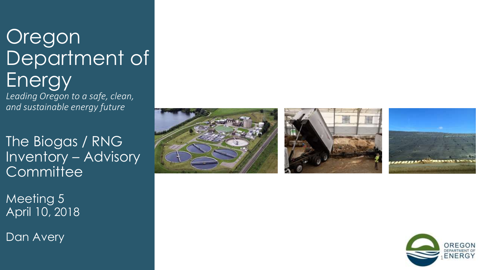# Oregon Department of Energy

*Leading Oregon to a safe, clean, and sustainable energy future*

The Biogas / RNG Inventory – Advisory **Committee** 

Meeting 5 April 10, 2018

Dan Avery







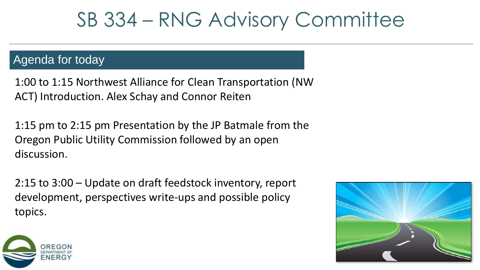### Agenda for today

1:00 to 1:15 Northwest Alliance for Clean Transportation (NW ACT) Introduction. Alex Schay and Connor Reiten

1:15 pm to 2:15 pm Presentation by the JP Batmale from the Oregon Public Utility Commission followed by an open discussion.

2:15 to 3:00 – Update on draft feedstock inventory, report development, perspectives write-ups and possible policy topics.



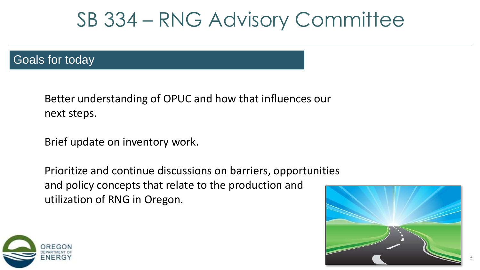### Goals for today

Better understanding of OPUC and how that influences our next steps.

Brief update on inventory work.

Prioritize and continue discussions on barriers, opportunities and policy concepts that relate to the production and utilization of RNG in Oregon.



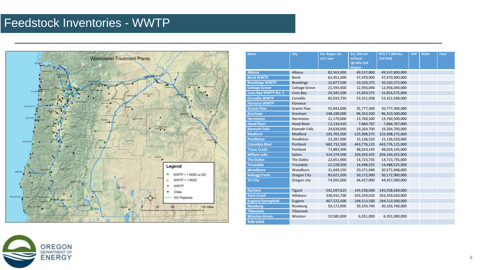### Feedstock Inventories - WWTP



|                                              | <b>Name</b>                       | <b>City</b>          | Est. Biogas vol.         | Est. CH4 vol.            | BTU (~1,000 btu                  | <b>CHP</b> | <b>Boiler</b> | <b>Flare</b> |  |
|----------------------------------------------|-----------------------------------|----------------------|--------------------------|--------------------------|----------------------------------|------------|---------------|--------------|--|
|                                              |                                   |                      | scf / year               | scf/year                 | /scf CH4)                        |            |               |              |  |
|                                              |                                   |                      |                          | (@ 60% CH4               |                                  |            |               |              |  |
|                                              |                                   |                      |                          | biogas)                  |                                  |            |               |              |  |
|                                              | <b>Albany</b><br><b>Bend WWTP</b> | Albany<br>Bend       | 82,563,000               | 49,537,800               | 49,537,800,000                   |            |               |              |  |
|                                              | <b>Brookings WWTP</b>             | <b>Brookings</b>     | 62,451,500<br>15,877,500 | 37,470,900<br>10,320,375 | 37,470,900,000<br>10,320,375,000 |            |               |              |  |
|                                              | <b>Cottage Grove</b>              | <b>Cottage Grove</b> | 21,593,400               | 12,956,040               | 12,956,040,000                   |            |               |              |  |
|                                              | Coos Bay WWTP No. 1               | Coos Bay             | 24,345,500               | 15,824,575               | 15,824,575,000                   |            |               |              |  |
|                                              | <b>Corvallis WWTP</b>             | Corvallis            | 82,033,750               | 53,321,938               |                                  |            |               |              |  |
|                                              | <b>Florence WWTP</b>              | Florence             |                          |                          | 53,321,938,000                   |            |               |              |  |
|                                              |                                   | <b>Grants Pass</b>   |                          |                          |                                  |            |               |              |  |
|                                              | <b>Grants Pass</b>                | Gresham              | 55,042,000               | 35,777,300               | 35,777,300,000                   |            |               |              |  |
|                                              | Gresham                           |                      | 148,190,000              | 96,323,500               | 96,323,500,000                   |            |               |              |  |
|                                              | <b>Hermiston</b>                  | Hermiston            | 21,170,000               | 13,760,500               | 13,760,500,000                   |            |               |              |  |
|                                              | <b>Hood River</b>                 | <b>Hood River</b>    | 12,130,410               | 7,884,767                | 7,884,767,000                    |            |               |              |  |
|                                              | <b>Klamath Falls</b>              | <b>Klamath Falls</b> | 29,638,000               | 19,264,700               | 19,264,700,000                   |            |               |              |  |
|                                              | <b>Medford</b>                    | Medford              | 193,705,500              | 125,908,575              | 125,908,575,000                  |            |               |              |  |
|                                              | <b>Pendleton</b>                  | Pendleton            | 23,287,000               | 15,136,550               | 15,136,550,000                   |            |               |              |  |
|                                              | <b>Columbia Blvd</b>              | Portland             | 682,732,500              | 443,776,125              | 443,776,125,000                  |            |               |              |  |
|                                              | <b>Tryon Creek</b>                | Portland             | 73,883,300               | 48,024,145               | 48,024,145,000                   |            |               |              |  |
|                                              | <b>Willow Lake</b>                | Salem                | 314,374,500              | 204,343,425              | 204,343,425,000                  |            |               |              |  |
|                                              | <b>The Dalles</b>                 | <b>The Dalles</b>    | 22,651,900               | 14,723,735               | 14,723,735,000                   |            |               |              |  |
| gend                                         | <b>Troutdale</b>                  | Troutdale            | 22,228,500               | 14,448,525               | 14,488,525,000                   |            |               |              |  |
|                                              | Woodburn                          | Woodburn             | 31,649,150               | 20,571,948               | 20,571,948,000                   |            |               |              |  |
| WWTP > 1 MGD w/AD                            | <b>Kellogg Creek</b>              | Oregon City          | 83,621,500               | 50,172,900               | 50,172,900,000                   |            |               |              |  |
| WWTP > 1 MGD                                 | <b>Tri City</b>                   | Oregon city          | 74,095,000               | 44,457,000               | 44,457,000,000                   |            |               |              |  |
| WWTP                                         |                                   |                      |                          |                          |                                  |            |               |              |  |
| <b>Cities</b>                                | <b>Durham</b>                     | <b>Tigard</b>        | 242,597,615              | 145,558,569              | 145,558,569,000                  |            |               |              |  |
| <b>NG Pipelines</b>                          | <b>Rock Creek</b>                 | Hillsboro            | 338,931,700              | 203,359,020              | 203,359,020,000                  |            |               |              |  |
|                                              | <b>Eugene/Springfield</b>         | Eugene               | 407,522,500              | 244,513,500              | 244,513,500,000                  |            |               |              |  |
| 120 Miles                                    | <b>Roseburg</b>                   | Roseburg             | 50,172,900               | 30,103,740               | 30,103,740,000                   |            |               |              |  |
|                                              | <b>Tillamook</b>                  | Tillamook            |                          |                          |                                  |            |               |              |  |
|                                              | <b>Winston-Green</b>              | Winston              | 10,585,000               | 6,351,000                | 6,351,000,000                    |            |               |              |  |
| рундисс 2010 Nanona Geotypper Struck, лекоет | <b>Sub total</b>                  |                      |                          |                          |                                  |            |               |              |  |

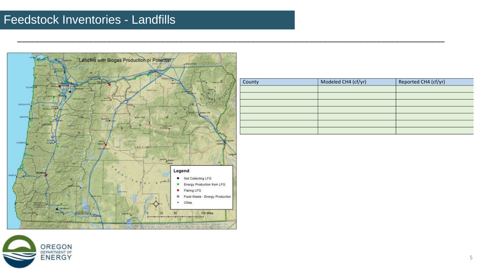### Feedstock Inventories - Landfills

OREGON<br>DEPARTMENT OF<br>ENERGY



\_\_\_\_\_\_\_\_\_\_\_\_\_\_\_\_\_\_\_\_\_\_\_\_\_\_\_\_\_\_\_\_\_\_\_\_\_\_\_\_\_\_\_\_\_\_\_\_\_\_\_\_\_\_\_\_\_\_\_\_\_\_\_\_\_\_\_\_\_\_\_\_\_\_\_\_\_\_\_\_\_\_\_\_\_\_\_\_\_\_\_\_\_\_\_

| County | Modeled CH4 (cf/yr) | Reported CH4 (cf/yr) |
|--------|---------------------|----------------------|
|        |                     |                      |
|        |                     |                      |
|        |                     |                      |
|        |                     |                      |
|        |                     |                      |
|        |                     |                      |
|        |                     |                      |

5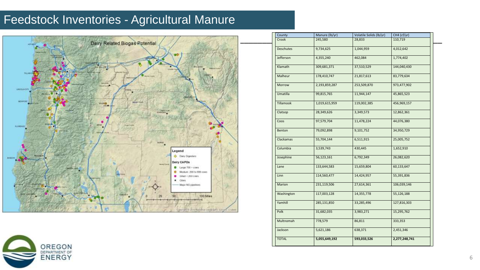### Feedstock Inventories - Agricultural Manure



| County           | Manure (lb/yr) | Volatile Solids (lb/yr) | CH4 (cf/yr)   |
|------------------|----------------|-------------------------|---------------|
| Crook            | 245,580        | 28,833                  | 110,719       |
| <b>Deschutes</b> | 9,734,625      | 1,044,959               | 4,012,642     |
| Jefferson        | 4,355,240      | 462,084                 | 1,774,402     |
| Klamath          | 309,681,371    | 37,510,529              | 144,040,430   |
| Malheur          | 178,410,747    | 21,817,613              | 83,779,634    |
| Morrow           | 2,193,859,287  | 253,509,870             | 973,477,902   |
| Umatilla         | 99,815,765     | 11,944,147              | 45,865,523    |
| Tillamook        | 1,019,615,959  | 119,002,385             | 456,969,157   |
| Clatsop          | 28,349,626     | 3,349,573               | 12,862,361    |
| Coos             | 97,579,704     | 11,478,224              | 44,076,380    |
| Benton           | 79,092,898     | 9,101,752               | 34,950,729    |
| Clackamas        | 55,704,144     | 6,511,915               | 25,005,752    |
| Columbia         | 3,539,743      | 430,445                 | 1,652,910     |
| Josephine        | 56,123,161     | 6,792,349               | 26,082,620    |
| Lane             | 133,644,583    | 15,659,804              | 60,133,647    |
| Linn             | 114,560,477    | 14,424,957              | 55,391,836    |
| Marion           | 231,119,506    | 27,614,361              | 106,039,146   |
| Washington       | 117,003,128    | 14,355,778              | 55,126,188    |
| Yamhill          | 285,131,850    | 33,285,496              | 127,816,303   |
| Polk             | 31,682,035     | 3,983,271               | 15,295,762    |
| Multnomah        | 778,579        | 86,811                  | 333,353       |
| Jackson          | 5,621,186      | 638,371                 | 2,451,346     |
| <b>TOTAL</b>     | 5,055,649,192  | 593,033,526             | 2,277,248,741 |

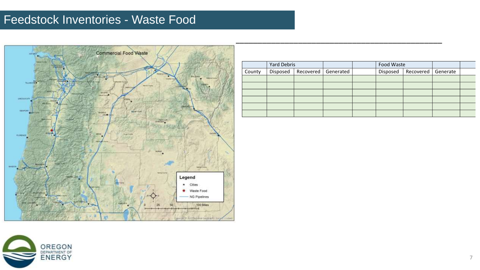### Feedstock Inventories - Waste Food



 $\frac{1}{2}$  , and the contribution of the contribution of the contribution of the contribution of the contribution of the contribution of the contribution of the contribution of the contribution of the contribution of the c

|        | <b>Yard Debris</b> |           |           | Food Waste |           |          |  |
|--------|--------------------|-----------|-----------|------------|-----------|----------|--|
| County | Disposed           | Recovered | Generated | Disposed   | Recovered | Generate |  |
|        |                    |           |           |            |           |          |  |
|        |                    |           |           |            |           |          |  |
|        |                    |           |           |            |           |          |  |
|        |                    |           |           |            |           |          |  |
|        |                    |           |           |            |           |          |  |
|        |                    |           |           |            |           |          |  |

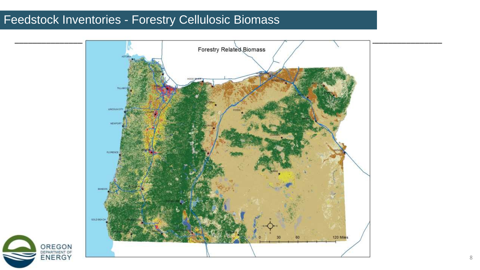### Feedstock Inventories - Forestry Cellulosic Biomass

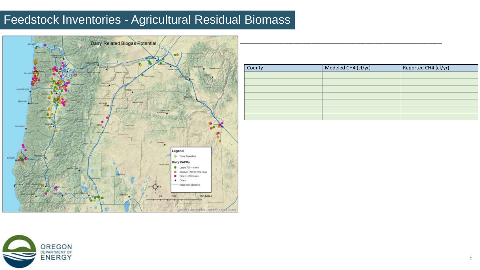### Feedstock Inventories - Agricultural Residual Biomass



| County | Modeled CH4 (cf/yr) | Reported CH4 (cf/yr) |
|--------|---------------------|----------------------|
|        |                     |                      |
|        |                     |                      |
|        |                     |                      |
|        |                     |                      |
|        |                     |                      |
|        |                     |                      |
|        |                     |                      |

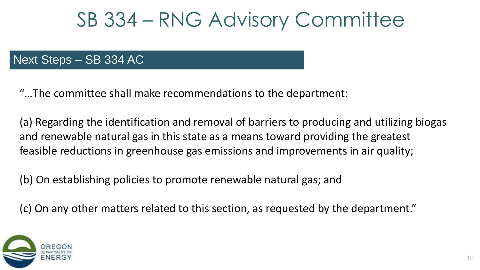### Next Steps – SB 334 AC

"…The committee shall make recommendations to the department:

(a) Regarding the identification and removal of barriers to producing and utilizing biogas and renewable natural gas in this state as a means toward providing the greatest feasible reductions in greenhouse gas emissions and improvements in air quality;

(b) On establishing policies to promote renewable natural gas; and

(c) On any other matters related to this section, as requested by the department."

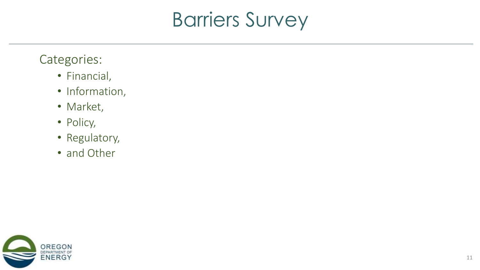# Barriers Survey

### Categories:

- Financial,
- Information,
- Market,
- Policy,
- Regulatory,
- and Other

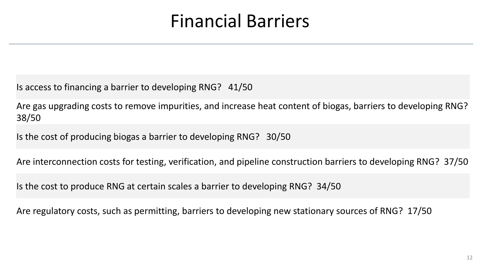## Financial Barriers

Is access to financing a barrier to developing RNG? 41/50

Are gas upgrading costs to remove impurities, and increase heat content of biogas, barriers to developing RNG? 38/50

Is the cost of producing biogas a barrier to developing RNG? 30/50

Are interconnection costs for testing, verification, and pipeline construction barriers to developing RNG? 37/50

Is the cost to produce RNG at certain scales a barrier to developing RNG? 34/50

Are regulatory costs, such as permitting, barriers to developing new stationary sources of RNG? 17/50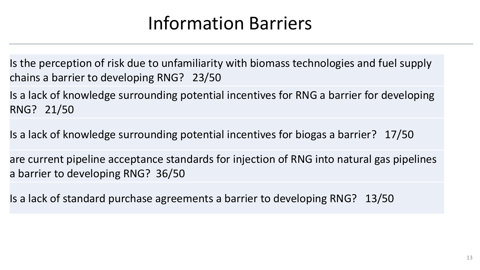## Information Barriers

Is the perception of risk due to unfamiliarity with biomass technologies and fuel supply chains a barrier to developing RNG? 23/50

Is a lack of knowledge surrounding potential incentives for RNG a barrier for developing RNG? 21/50

Is a lack of knowledge surrounding potential incentives for biogas a barrier? 17/50

are current pipeline acceptance standards for injection of RNG into natural gas pipelines a barrier to developing RNG? 36/50

Is a lack of standard purchase agreements a barrier to developing RNG? 13/50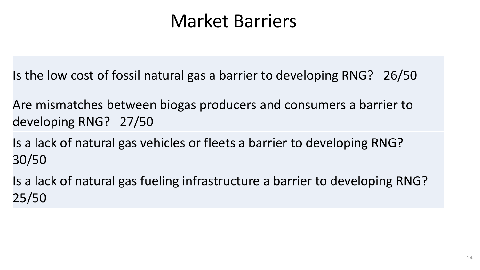### Market Barriers

Is the low cost of fossil natural gas a barrier to developing RNG? 26/50

Are mismatches between biogas producers and consumers a barrier to developing RNG? 27/50

Is a lack of natural gas vehicles or fleets a barrier to developing RNG? 30/50

Is a lack of natural gas fueling infrastructure a barrier to developing RNG? 25/50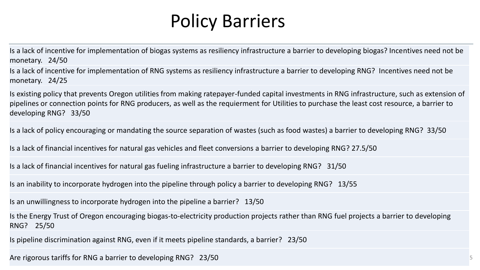## Policy Barriers

Is a lack of incentive for implementation of biogas systems as resiliency infrastructure a barrier to developing biogas? Incentives need not be monetary. 24/50

Is a lack of incentive for implementation of RNG systems as resiliency infrastructure a barrier to developing RNG? Incentives need not be monetary. 24/25

Is existing policy that prevents Oregon utilities from making ratepayer-funded capital investments in RNG infrastructure, such as extension of pipelines or connection points for RNG producers, as well as the requierment for Utilities to purchase the least cost resource, a barrier to developing RNG? 33/50

Is a lack of policy encouraging or mandating the source separation of wastes (such as food wastes) a barrier to developing RNG? 33/50

Is a lack of financial incentives for natural gas vehicles and fleet conversions a barrier to developing RNG? 27.5/50

Is a lack of financial incentives for natural gas fueling infrastructure a barrier to developing RNG? 31/50

Is an inability to incorporate hydrogen into the pipeline through policy a barrier to developing RNG? 13/55

Is an unwillingness to incorporate hydrogen into the pipeline a barrier? 13/50

Is the Energy Trust of Oregon encouraging biogas-to-electricity production projects rather than RNG fuel projects a barrier to developing RNG? 25/50

Is pipeline discrimination against RNG, even if it meets pipeline standards, a barrier? 23/50

Are rigorous tariffs for RNG a barrier to developing RNG? 23/50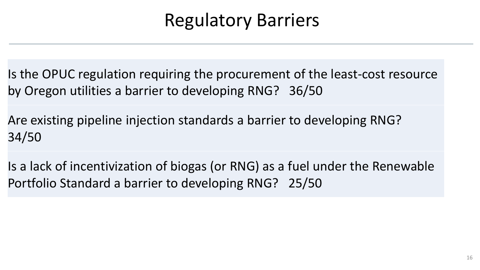## Regulatory Barriers

Is the OPUC regulation requiring the procurement of the least-cost resource by Oregon utilities a barrier to developing RNG? 36/50

Are existing pipeline injection standards a barrier to developing RNG? 34/50

Is a lack of incentivization of biogas (or RNG) as a fuel under the Renewable Portfolio Standard a barrier to developing RNG? 25/50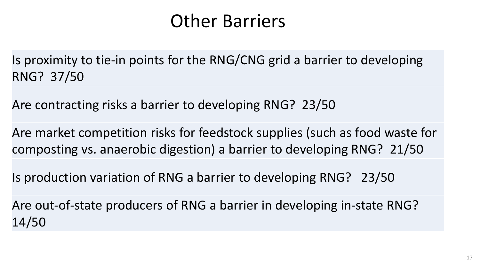## Other Barriers

Is proximity to tie-in points for the RNG/CNG grid a barrier to developing RNG? 37/50

Are contracting risks a barrier to developing RNG? 23/50

Are market competition risks for feedstock supplies (such as food waste for composting vs. anaerobic digestion) a barrier to developing RNG? 21/50

Is production variation of RNG a barrier to developing RNG? 23/50

Are out-of-state producers of RNG a barrier in developing in-state RNG? 14/50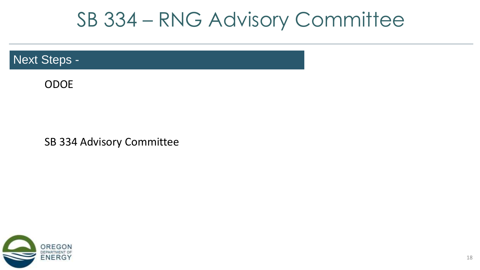### Next Steps -

ODOE

SB 334 Advisory Committee

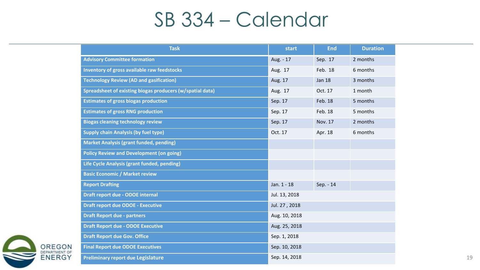# SB 334 – Calendar

| <b>Task</b>                                               | start         | <b>End</b>    | <b>Duration</b> |
|-----------------------------------------------------------|---------------|---------------|-----------------|
| <b>Advisory Committee formation</b>                       | Aug. - 17     | Sep. 17       | 2 months        |
| Inventory of gross available raw feedstocks               | Aug. 17       | Feb. 18       | 6 months        |
| <b>Technology Review (AD and gasification)</b>            | Aug. 17       | <b>Jan 18</b> | 3 months        |
| Spreadsheet of existing biogas producers (w/spatial data) | Aug. 17       | Oct. 17       | 1 month         |
| <b>Estimates of gross biogas production</b>               | Sep. 17       | Feb. 18       | 5 months        |
| <b>Estimates of gross RNG production</b>                  | Sep. 17       | Feb. 18       | 5 months        |
| <b>Biogas cleaning technology review</b>                  | Sep. 17       | Nov. 17       | 2 months        |
| <b>Supply chain Analysis (by fuel type)</b>               | Oct. 17       | Apr. 18       | 6 months        |
| <b>Market Analysis (grant funded, pending)</b>            |               |               |                 |
| <b>Policy Review and Development (on going)</b>           |               |               |                 |
| Life Cycle Analysis (grant funded, pending)               |               |               |                 |
| <b>Basic Economic / Market review</b>                     |               |               |                 |
| <b>Report Drafting</b>                                    | Jan. 1 - 18   | Sep. - 14     |                 |
| Draft report due - ODOE internal                          | Jul. 13, 2018 |               |                 |
| <b>Draft report due ODOE - Executive</b>                  | Jul. 27, 2018 |               |                 |
| <b>Draft Report due - partners</b>                        | Aug. 10, 2018 |               |                 |
| <b>Draft Report due - ODOE Executive</b>                  | Aug. 25, 2018 |               |                 |
| <b>Draft Report due Gov. Office</b>                       | Sep. 1, 2018  |               |                 |
| <b>Final Report due ODOE Executives</b>                   | Sep. 10, 2018 |               |                 |
| <b>Preliminary report due Legislature</b>                 | Sep. 14, 2018 |               |                 |